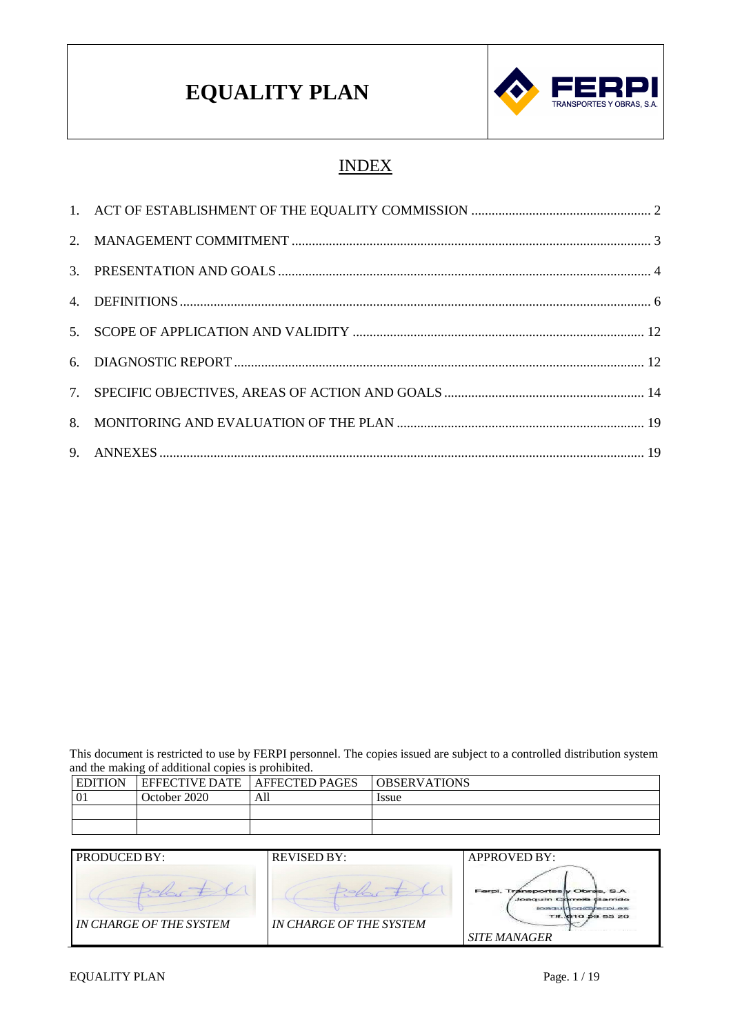

## INDEX

This document is restricted to use by FERPI personnel. The copies issued are subject to a controlled distribution system and the making of additional copies is prohibited.

| <b>EDITION</b> | <b>EFFECTIVE DATE</b> | <b>AFFECTED PAGES</b> | <b>OBSERVATIONS</b> |
|----------------|-----------------------|-----------------------|---------------------|
| 01             | October 2020          | All                   | Issue               |
|                |                       |                       |                     |
|                |                       |                       |                     |

| PRODUCED BY:            | <b>REVISED BY:</b>             | <b>APPROVED BY:</b>                                                                                                          |
|-------------------------|--------------------------------|------------------------------------------------------------------------------------------------------------------------------|
| IN CHARGE OF THE SYSTEM | <b>IN CHARGE OF THE SYSTEM</b> | Ferpi, Transportes y Obras, S.A.<br>Joaquin Correila Garrido<br>joaquinco@ferpi.er<br>TH 610 59 85 20<br><b>SITE MANAGER</b> |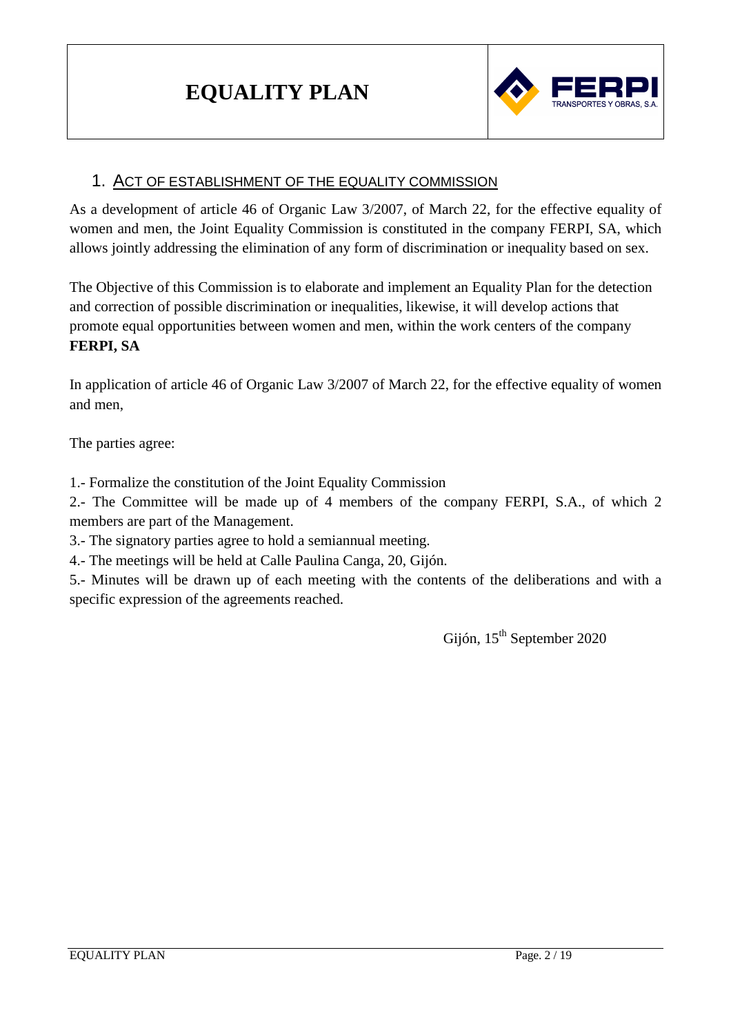

## 1. ACT OF ESTABLISHMENT OF THE EQUALITY COMMISSION

As a development of article 46 of Organic Law 3/2007, of March 22, for the effective equality of women and men, the Joint Equality Commission is constituted in the company FERPI, SA, which allows jointly addressing the elimination of any form of discrimination or inequality based on sex.

The Objective of this Commission is to elaborate and implement an Equality Plan for the detection and correction of possible discrimination or inequalities, likewise, it will develop actions that promote equal opportunities between women and men, within the work centers of the company **FERPI, SA**

In application of article 46 of Organic Law 3/2007 of March 22, for the effective equality of women and men,

The parties agree:

1.- Formalize the constitution of the Joint Equality Commission

2.- The Committee will be made up of 4 members of the company FERPI, S.A., of which 2 members are part of the Management.

3.- The signatory parties agree to hold a semiannual meeting.

4.- The meetings will be held at Calle Paulina Canga, 20, Gijón.

5.- Minutes will be drawn up of each meeting with the contents of the deliberations and with a specific expression of the agreements reached.

Gijón, 15<sup>th</sup> September 2020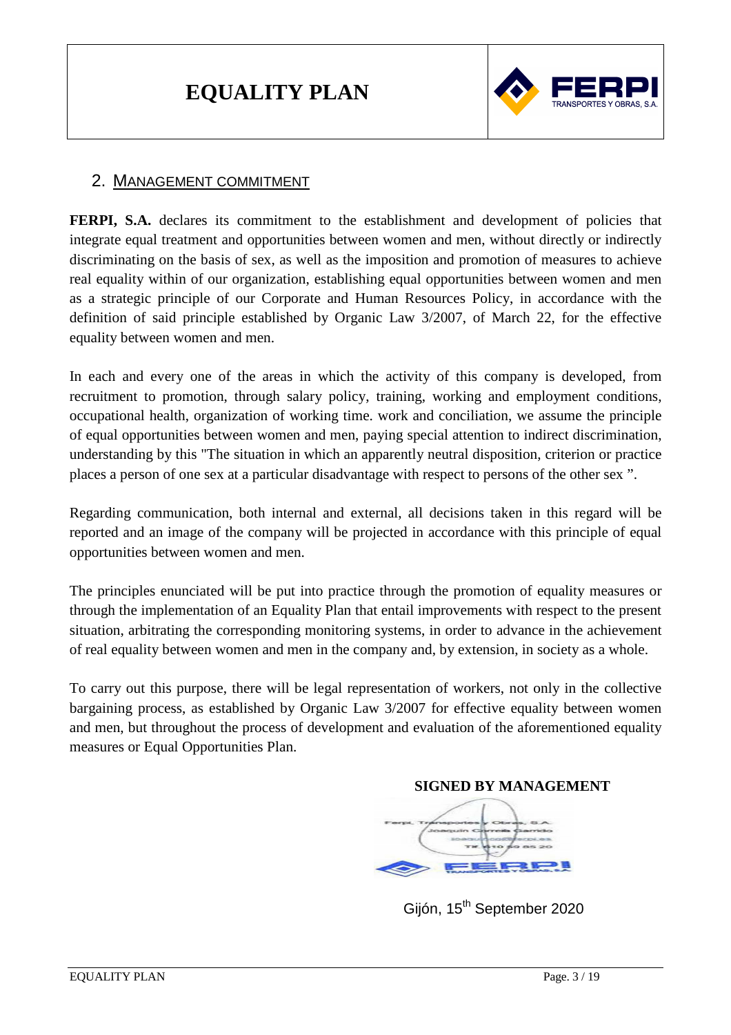

## 2. MANAGEMENT COMMITMENT

**FERPI, S.A.** declares its commitment to the establishment and development of policies that integrate equal treatment and opportunities between women and men, without directly or indirectly discriminating on the basis of sex, as well as the imposition and promotion of measures to achieve real equality within of our organization, establishing equal opportunities between women and men as a strategic principle of our Corporate and Human Resources Policy, in accordance with the definition of said principle established by Organic Law 3/2007, of March 22, for the effective equality between women and men.

In each and every one of the areas in which the activity of this company is developed, from recruitment to promotion, through salary policy, training, working and employment conditions, occupational health, organization of working time. work and conciliation, we assume the principle of equal opportunities between women and men, paying special attention to indirect discrimination, understanding by this "The situation in which an apparently neutral disposition, criterion or practice places a person of one sex at a particular disadvantage with respect to persons of the other sex ".

Regarding communication, both internal and external, all decisions taken in this regard will be reported and an image of the company will be projected in accordance with this principle of equal opportunities between women and men.

The principles enunciated will be put into practice through the promotion of equality measures or through the implementation of an Equality Plan that entail improvements with respect to the present situation, arbitrating the corresponding monitoring systems, in order to advance in the achievement of real equality between women and men in the company and, by extension, in society as a whole.

To carry out this purpose, there will be legal representation of workers, not only in the collective bargaining process, as established by Organic Law 3/2007 for effective equality between women and men, but throughout the process of development and evaluation of the aforementioned equality measures or Equal Opportunities Plan.

# **SIGNED BY MANAGEMENT**

Gijón, 15<sup>th</sup> September 2020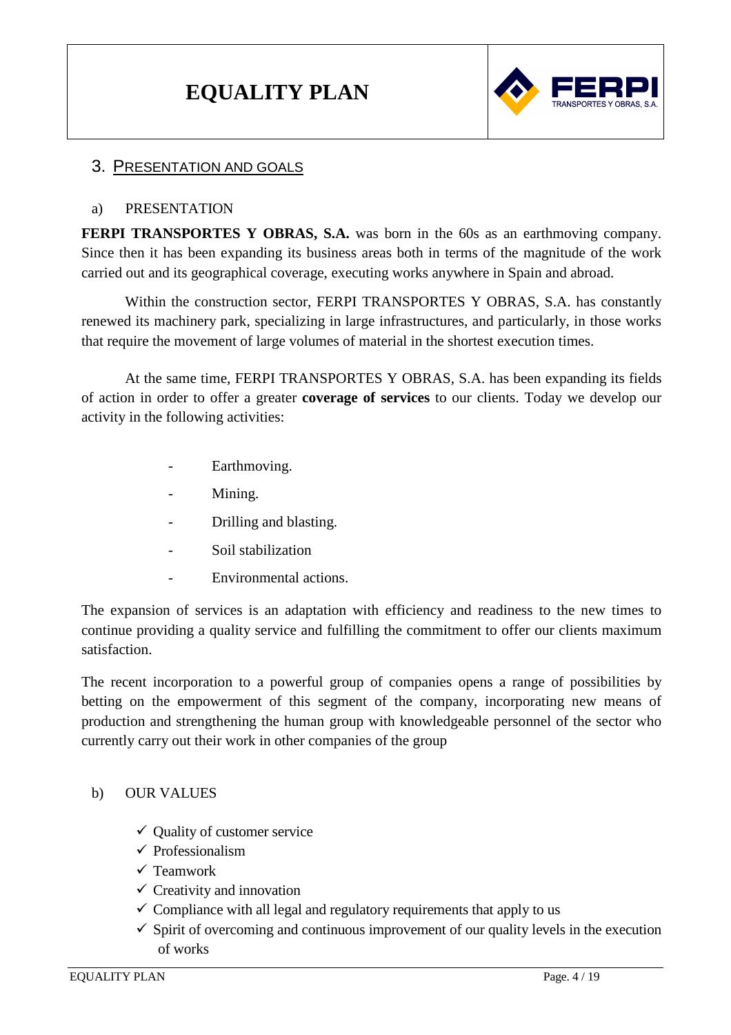

#### 3. PRESENTATION AND GOALS

#### a) PRESENTATION

**FERPI TRANSPORTES Y OBRAS, S.A.** was born in the 60s as an earthmoving company. Since then it has been expanding its business areas both in terms of the magnitude of the work carried out and its geographical coverage, executing works anywhere in Spain and abroad.

Within the construction sector, FERPI TRANSPORTES Y OBRAS, S.A. has constantly renewed its machinery park, specializing in large infrastructures, and particularly, in those works that require the movement of large volumes of material in the shortest execution times.

At the same time, FERPI TRANSPORTES Y OBRAS, S.A. has been expanding its fields of action in order to offer a greater **coverage of services** to our clients. Today we develop our activity in the following activities:

- Earthmoving.
- Mining.
- Drilling and blasting.
- Soil stabilization
- Environmental actions.

The expansion of services is an adaptation with efficiency and readiness to the new times to continue providing a quality service and fulfilling the commitment to offer our clients maximum satisfaction.

The recent incorporation to a powerful group of companies opens a range of possibilities by betting on the empowerment of this segment of the company, incorporating new means of production and strengthening the human group with knowledgeable personnel of the sector who currently carry out their work in other companies of the group

#### b) OUR VALUES

- $\checkmark$  Ouality of customer service
- $\checkmark$  Professionalism
- $\checkmark$  Teamwork
- $\checkmark$  Creativity and innovation
- $\checkmark$  Compliance with all legal and regulatory requirements that apply to us
- $\checkmark$  Spirit of overcoming and continuous improvement of our quality levels in the execution of works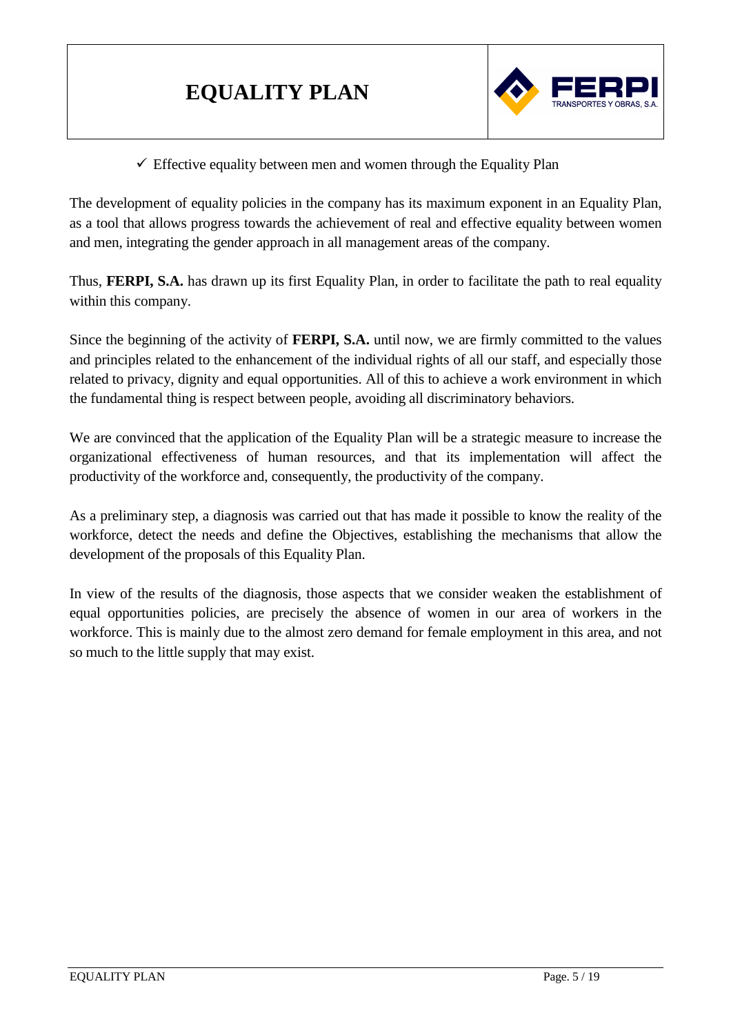

 $\checkmark$  Effective equality between men and women through the Equality Plan

The development of equality policies in the company has its maximum exponent in an Equality Plan, as a tool that allows progress towards the achievement of real and effective equality between women and men, integrating the gender approach in all management areas of the company.

Thus, **FERPI, S.A.** has drawn up its first Equality Plan, in order to facilitate the path to real equality within this company.

Since the beginning of the activity of **FERPI, S.A.** until now, we are firmly committed to the values and principles related to the enhancement of the individual rights of all our staff, and especially those related to privacy, dignity and equal opportunities. All of this to achieve a work environment in which the fundamental thing is respect between people, avoiding all discriminatory behaviors.

We are convinced that the application of the Equality Plan will be a strategic measure to increase the organizational effectiveness of human resources, and that its implementation will affect the productivity of the workforce and, consequently, the productivity of the company.

As a preliminary step, a diagnosis was carried out that has made it possible to know the reality of the workforce, detect the needs and define the Objectives, establishing the mechanisms that allow the development of the proposals of this Equality Plan.

In view of the results of the diagnosis, those aspects that we consider weaken the establishment of equal opportunities policies, are precisely the absence of women in our area of workers in the workforce. This is mainly due to the almost zero demand for female employment in this area, and not so much to the little supply that may exist.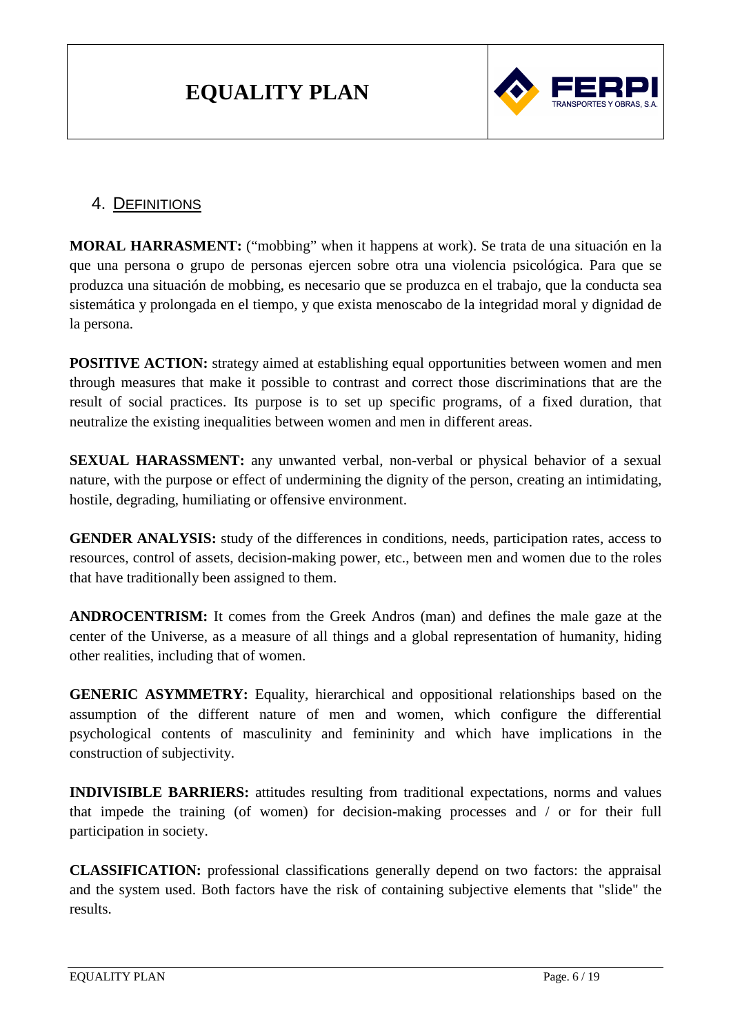

## 4. DEFINITIONS

**MORAL HARRASMENT:** ("mobbing" when it happens at work). Se trata de una situación en la que una persona o grupo de personas ejercen sobre otra una violencia psicológica. Para que se produzca una situación de mobbing, es necesario que se produzca en el trabajo, que la conducta sea sistemática y prolongada en el tiempo, y que exista menoscabo de la integridad moral y dignidad de la persona.

**POSITIVE ACTION:** strategy aimed at establishing equal opportunities between women and men through measures that make it possible to contrast and correct those discriminations that are the result of social practices. Its purpose is to set up specific programs, of a fixed duration, that neutralize the existing inequalities between women and men in different areas.

**SEXUAL HARASSMENT:** any unwanted verbal, non-verbal or physical behavior of a sexual nature, with the purpose or effect of undermining the dignity of the person, creating an intimidating, hostile, degrading, humiliating or offensive environment.

**GENDER ANALYSIS:** study of the differences in conditions, needs, participation rates, access to resources, control of assets, decision-making power, etc., between men and women due to the roles that have traditionally been assigned to them.

**ANDROCENTRISM:** It comes from the Greek Andros (man) and defines the male gaze at the center of the Universe, as a measure of all things and a global representation of humanity, hiding other realities, including that of women.

**GENERIC ASYMMETRY:** Equality, hierarchical and oppositional relationships based on the assumption of the different nature of men and women, which configure the differential psychological contents of masculinity and femininity and which have implications in the construction of subjectivity.

**INDIVISIBLE BARRIERS:** attitudes resulting from traditional expectations, norms and values that impede the training (of women) for decision-making processes and / or for their full participation in society.

**CLASSIFICATION:** professional classifications generally depend on two factors: the appraisal and the system used. Both factors have the risk of containing subjective elements that "slide" the results.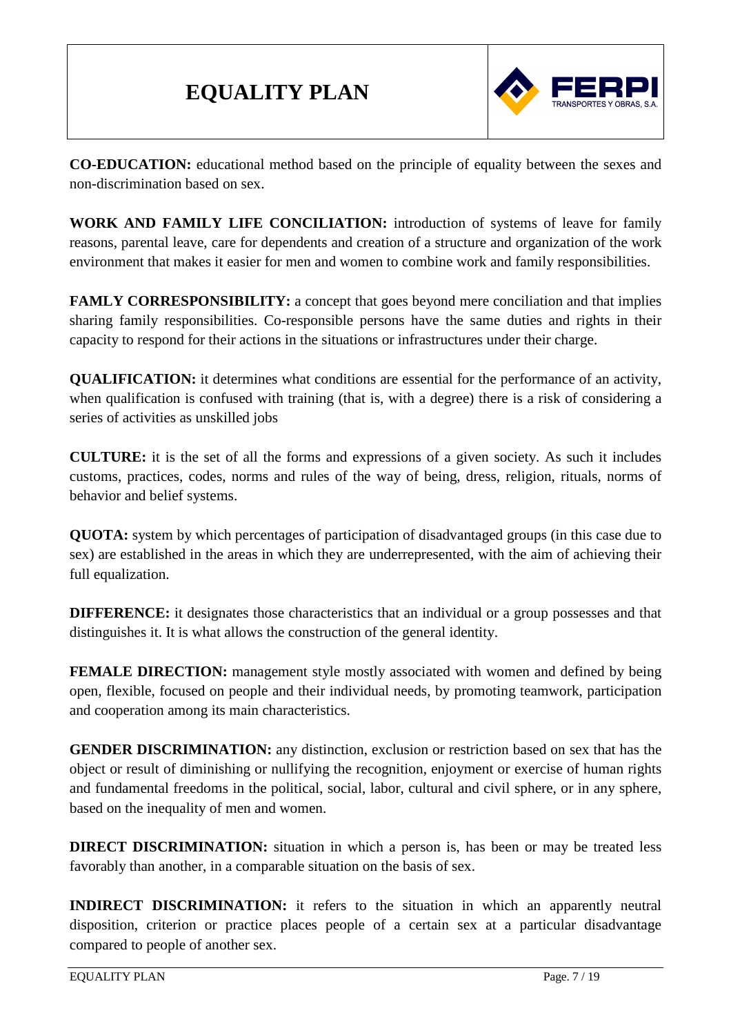

**CO-EDUCATION:** educational method based on the principle of equality between the sexes and non-discrimination based on sex.

**WORK AND FAMILY LIFE CONCILIATION:** introduction of systems of leave for family reasons, parental leave, care for dependents and creation of a structure and organization of the work environment that makes it easier for men and women to combine work and family responsibilities.

**FAMLY CORRESPONSIBILITY:** a concept that goes beyond mere conciliation and that implies sharing family responsibilities. Co-responsible persons have the same duties and rights in their capacity to respond for their actions in the situations or infrastructures under their charge.

**QUALIFICATION:** it determines what conditions are essential for the performance of an activity, when qualification is confused with training (that is, with a degree) there is a risk of considering a series of activities as unskilled jobs

**CULTURE:** it is the set of all the forms and expressions of a given society. As such it includes customs, practices, codes, norms and rules of the way of being, dress, religion, rituals, norms of behavior and belief systems.

**QUOTA:** system by which percentages of participation of disadvantaged groups (in this case due to sex) are established in the areas in which they are underrepresented, with the aim of achieving their full equalization.

**DIFFERENCE:** it designates those characteristics that an individual or a group possesses and that distinguishes it. It is what allows the construction of the general identity.

**FEMALE DIRECTION:** management style mostly associated with women and defined by being open, flexible, focused on people and their individual needs, by promoting teamwork, participation and cooperation among its main characteristics.

**GENDER DISCRIMINATION:** any distinction, exclusion or restriction based on sex that has the object or result of diminishing or nullifying the recognition, enjoyment or exercise of human rights and fundamental freedoms in the political, social, labor, cultural and civil sphere, or in any sphere, based on the inequality of men and women.

**DIRECT DISCRIMINATION:** situation in which a person is, has been or may be treated less favorably than another, in a comparable situation on the basis of sex.

**INDIRECT DISCRIMINATION:** it refers to the situation in which an apparently neutral disposition, criterion or practice places people of a certain sex at a particular disadvantage compared to people of another sex.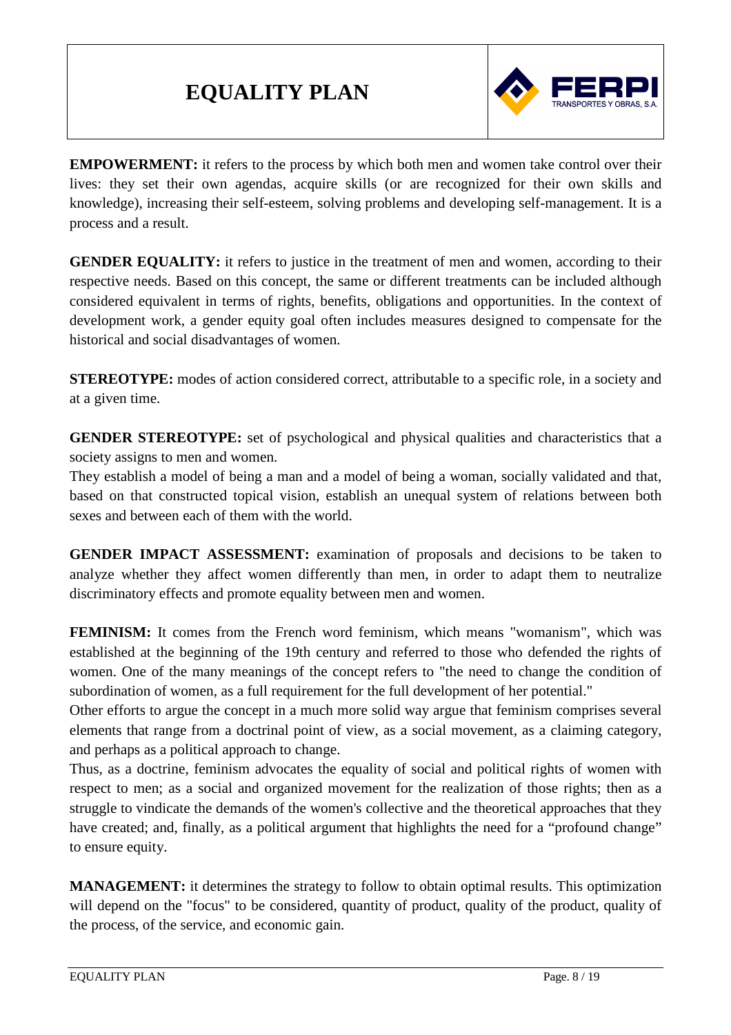

**EMPOWERMENT:** it refers to the process by which both men and women take control over their lives: they set their own agendas, acquire skills (or are recognized for their own skills and knowledge), increasing their self-esteem, solving problems and developing self-management. It is a process and a result.

**GENDER EQUALITY:** it refers to justice in the treatment of men and women, according to their respective needs. Based on this concept, the same or different treatments can be included although considered equivalent in terms of rights, benefits, obligations and opportunities. In the context of development work, a gender equity goal often includes measures designed to compensate for the historical and social disadvantages of women.

**STEREOTYPE:** modes of action considered correct, attributable to a specific role, in a society and at a given time.

**GENDER STEREOTYPE:** set of psychological and physical qualities and characteristics that a society assigns to men and women.

They establish a model of being a man and a model of being a woman, socially validated and that, based on that constructed topical vision, establish an unequal system of relations between both sexes and between each of them with the world.

**GENDER IMPACT ASSESSMENT:** examination of proposals and decisions to be taken to analyze whether they affect women differently than men, in order to adapt them to neutralize discriminatory effects and promote equality between men and women.

**FEMINISM:** It comes from the French word feminism, which means "womanism", which was established at the beginning of the 19th century and referred to those who defended the rights of women. One of the many meanings of the concept refers to "the need to change the condition of subordination of women, as a full requirement for the full development of her potential."

Other efforts to argue the concept in a much more solid way argue that feminism comprises several elements that range from a doctrinal point of view, as a social movement, as a claiming category, and perhaps as a political approach to change.

Thus, as a doctrine, feminism advocates the equality of social and political rights of women with respect to men; as a social and organized movement for the realization of those rights; then as a struggle to vindicate the demands of the women's collective and the theoretical approaches that they have created; and, finally, as a political argument that highlights the need for a "profound change" to ensure equity.

**MANAGEMENT:** it determines the strategy to follow to obtain optimal results. This optimization will depend on the "focus" to be considered, quantity of product, quality of the product, quality of the process, of the service, and economic gain.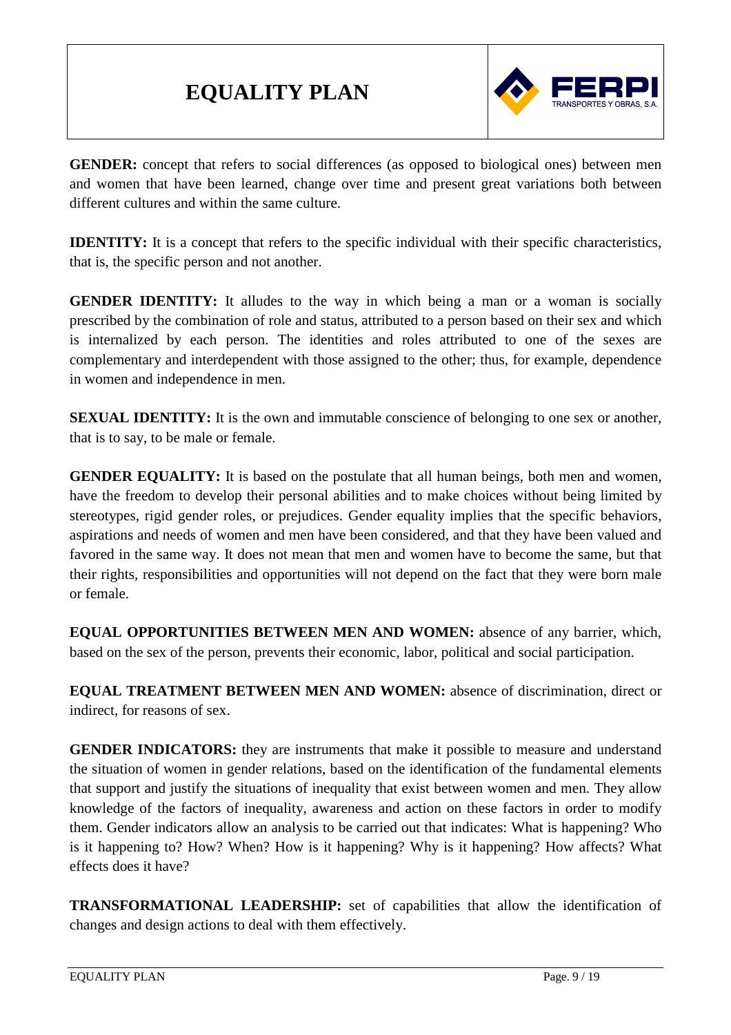

**GENDER:** concept that refers to social differences (as opposed to biological ones) between men and women that have been learned, change over time and present great variations both between different cultures and within the same culture.

**IDENTITY:** It is a concept that refers to the specific individual with their specific characteristics, that is, the specific person and not another.

**GENDER IDENTITY:** It alludes to the way in which being a man or a woman is socially prescribed by the combination of role and status, attributed to a person based on their sex and which is internalized by each person. The identities and roles attributed to one of the sexes are complementary and interdependent with those assigned to the other; thus, for example, dependence in women and independence in men.

**SEXUAL IDENTITY:** It is the own and immutable conscience of belonging to one sex or another, that is to say, to be male or female.

**GENDER EQUALITY:** It is based on the postulate that all human beings, both men and women, have the freedom to develop their personal abilities and to make choices without being limited by stereotypes, rigid gender roles, or prejudices. Gender equality implies that the specific behaviors, aspirations and needs of women and men have been considered, and that they have been valued and favored in the same way. It does not mean that men and women have to become the same, but that their rights, responsibilities and opportunities will not depend on the fact that they were born male or female.

**EQUAL OPPORTUNITIES BETWEEN MEN AND WOMEN:** absence of any barrier, which, based on the sex of the person, prevents their economic, labor, political and social participation.

**EQUAL TREATMENT BETWEEN MEN AND WOMEN:** absence of discrimination, direct or indirect, for reasons of sex.

**GENDER INDICATORS:** they are instruments that make it possible to measure and understand the situation of women in gender relations, based on the identification of the fundamental elements that support and justify the situations of inequality that exist between women and men. They allow knowledge of the factors of inequality, awareness and action on these factors in order to modify them. Gender indicators allow an analysis to be carried out that indicates: What is happening? Who is it happening to? How? When? How is it happening? Why is it happening? How affects? What effects does it have?

**TRANSFORMATIONAL LEADERSHIP:** set of capabilities that allow the identification of changes and design actions to deal with them effectively.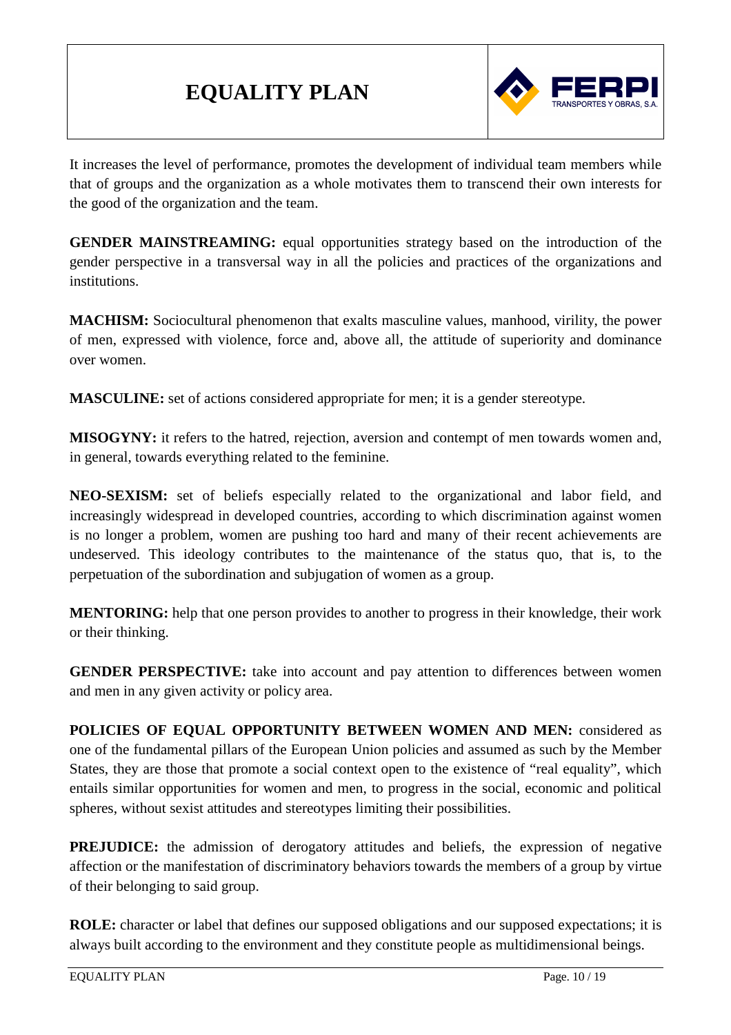

It increases the level of performance, promotes the development of individual team members while that of groups and the organization as a whole motivates them to transcend their own interests for the good of the organization and the team.

**GENDER MAINSTREAMING:** equal opportunities strategy based on the introduction of the gender perspective in a transversal way in all the policies and practices of the organizations and institutions.

**MACHISM:** Sociocultural phenomenon that exalts masculine values, manhood, virility, the power of men, expressed with violence, force and, above all, the attitude of superiority and dominance over women.

**MASCULINE:** set of actions considered appropriate for men; it is a gender stereotype.

**MISOGYNY:** it refers to the hatred, rejection, aversion and contempt of men towards women and, in general, towards everything related to the feminine.

**NEO-SEXISM:** set of beliefs especially related to the organizational and labor field, and increasingly widespread in developed countries, according to which discrimination against women is no longer a problem, women are pushing too hard and many of their recent achievements are undeserved. This ideology contributes to the maintenance of the status quo, that is, to the perpetuation of the subordination and subjugation of women as a group.

**MENTORING:** help that one person provides to another to progress in their knowledge, their work or their thinking.

**GENDER PERSPECTIVE:** take into account and pay attention to differences between women and men in any given activity or policy area.

**POLICIES OF EQUAL OPPORTUNITY BETWEEN WOMEN AND MEN:** considered as one of the fundamental pillars of the European Union policies and assumed as such by the Member States, they are those that promote a social context open to the existence of "real equality", which entails similar opportunities for women and men, to progress in the social, economic and political spheres, without sexist attitudes and stereotypes limiting their possibilities.

**PREJUDICE:** the admission of derogatory attitudes and beliefs, the expression of negative affection or the manifestation of discriminatory behaviors towards the members of a group by virtue of their belonging to said group.

**ROLE:** character or label that defines our supposed obligations and our supposed expectations; it is always built according to the environment and they constitute people as multidimensional beings.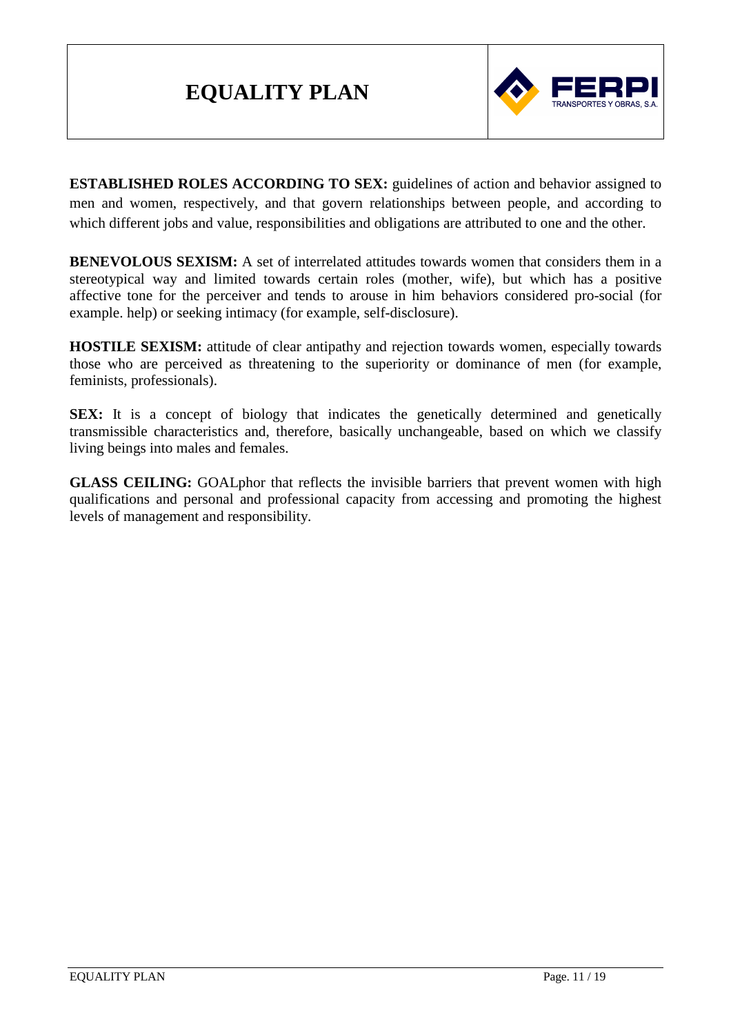

**ESTABLISHED ROLES ACCORDING TO SEX:** guidelines of action and behavior assigned to men and women, respectively, and that govern relationships between people, and according to which different jobs and value, responsibilities and obligations are attributed to one and the other.

**BENEVOLOUS SEXISM:** A set of interrelated attitudes towards women that considers them in a stereotypical way and limited towards certain roles (mother, wife), but which has a positive affective tone for the perceiver and tends to arouse in him behaviors considered pro-social (for example. help) or seeking intimacy (for example, self-disclosure).

**HOSTILE SEXISM:** attitude of clear antipathy and rejection towards women, especially towards those who are perceived as threatening to the superiority or dominance of men (for example, feminists, professionals).

**SEX:** It is a concept of biology that indicates the genetically determined and genetically transmissible characteristics and, therefore, basically unchangeable, based on which we classify living beings into males and females.

**GLASS CEILING:** GOALphor that reflects the invisible barriers that prevent women with high qualifications and personal and professional capacity from accessing and promoting the highest levels of management and responsibility.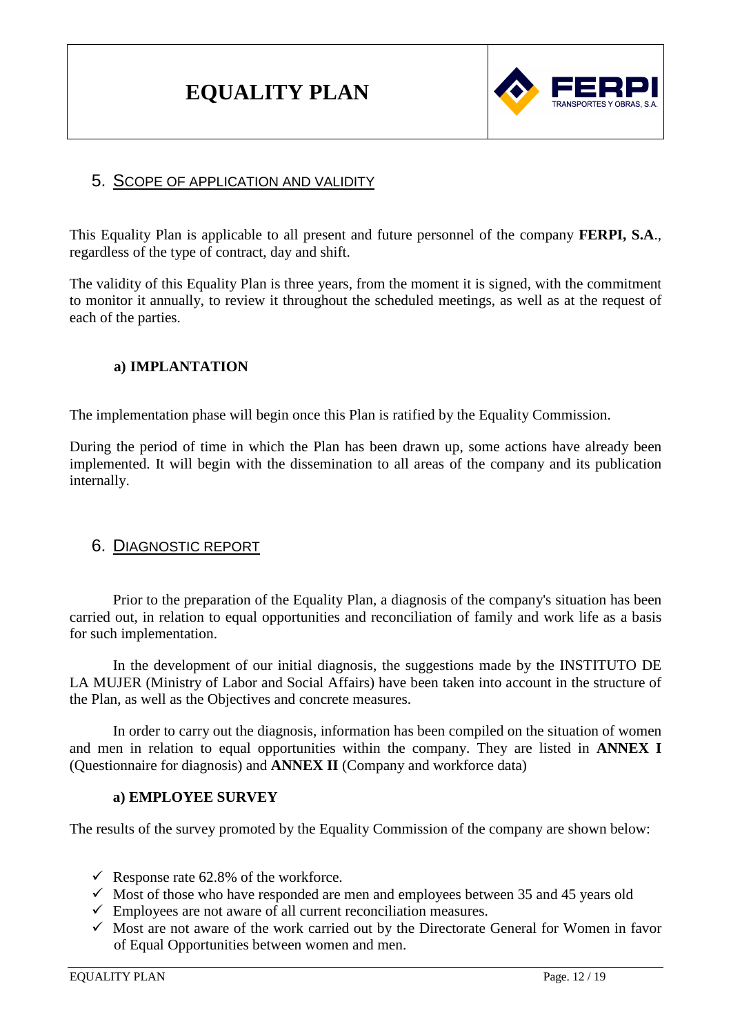

## 5. SCOPE OF APPLICATION AND VALIDITY

This Equality Plan is applicable to all present and future personnel of the company **FERPI, S.A**., regardless of the type of contract, day and shift.

The validity of this Equality Plan is three years, from the moment it is signed, with the commitment to monitor it annually, to review it throughout the scheduled meetings, as well as at the request of each of the parties.

#### **a) IMPLANTATION**

The implementation phase will begin once this Plan is ratified by the Equality Commission.

During the period of time in which the Plan has been drawn up, some actions have already been implemented. It will begin with the dissemination to all areas of the company and its publication internally.

## 6. DIAGNOSTIC REPORT

Prior to the preparation of the Equality Plan, a diagnosis of the company's situation has been carried out, in relation to equal opportunities and reconciliation of family and work life as a basis for such implementation.

In the development of our initial diagnosis, the suggestions made by the INSTITUTO DE LA MUJER (Ministry of Labor and Social Affairs) have been taken into account in the structure of the Plan, as well as the Objectives and concrete measures.

In order to carry out the diagnosis, information has been compiled on the situation of women and men in relation to equal opportunities within the company. They are listed in **ANNEX I** (Questionnaire for diagnosis) and **ANNEX II** (Company and workforce data)

#### **a) EMPLOYEE SURVEY**

The results of the survey promoted by the Equality Commission of the company are shown below:

- $\checkmark$  Response rate 62.8% of the workforce.
- $\checkmark$  Most of those who have responded are men and employees between 35 and 45 years old
- $\checkmark$  Employees are not aware of all current reconciliation measures.
- $\checkmark$  Most are not aware of the work carried out by the Directorate General for Women in favor of Equal Opportunities between women and men.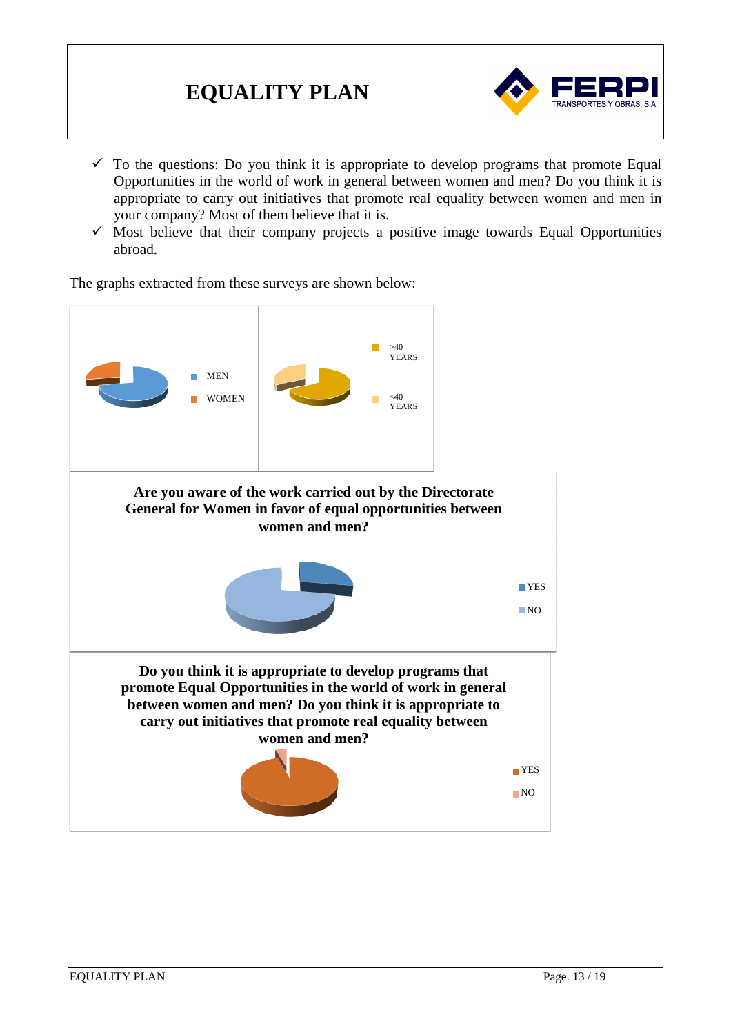

- $\checkmark$  To the questions: Do you think it is appropriate to develop programs that promote Equal Opportunities in the world of work in general between women and men? Do you think it is appropriate to carry out initiatives that promote real equality between women and men in your company? Most of them believe that it is.
- $\checkmark$  Most believe that their company projects a positive image towards Equal Opportunities abroad.

The graphs extracted from these surveys are shown below:

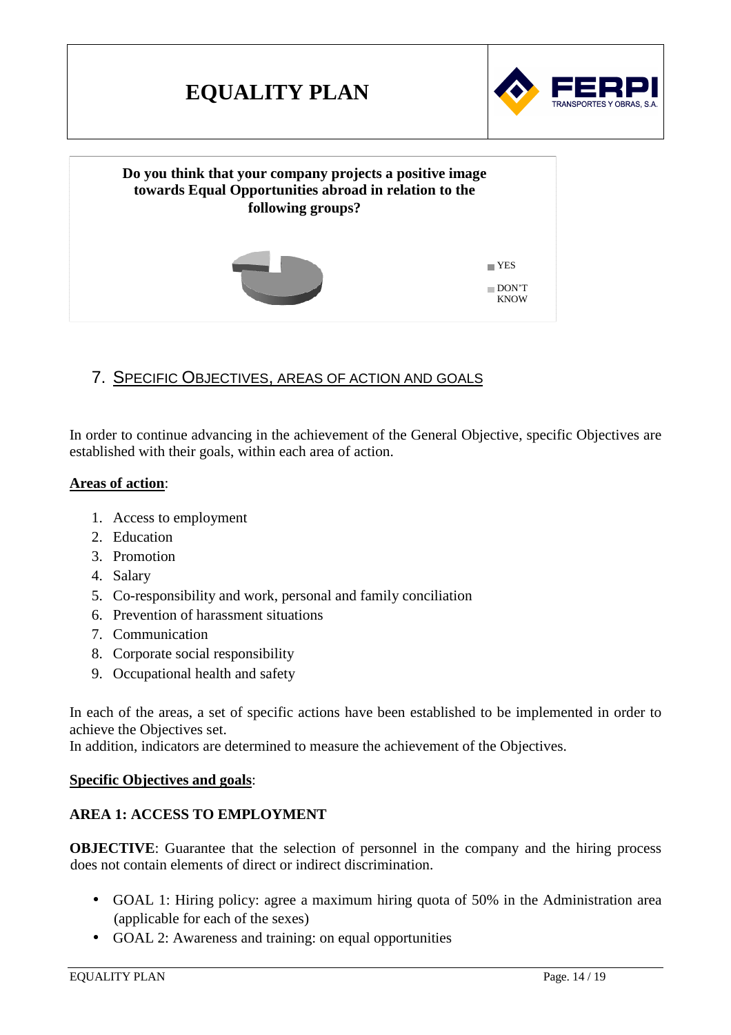

## 7. SPECIFIC OBJECTIVES, AREAS OF ACTION AND GOALS

In order to continue advancing in the achievement of the General Objective, specific Objectives are established with their goals, within each area of action.

#### **Areas of action**:

- 1. Access to employment
- 2. Education
- 3. Promotion
- 4. Salary
- 5. Co-responsibility and work, personal and family conciliation
- 6. Prevention of harassment situations
- 7. Communication
- 8. Corporate social responsibility
- 9. Occupational health and safety

In each of the areas, a set of specific actions have been established to be implemented in order to achieve the Objectives set.

In addition, indicators are determined to measure the achievement of the Objectives.

#### **Specific Objectives and goals**:

#### **AREA 1: ACCESS TO EMPLOYMENT**

**OBJECTIVE:** Guarantee that the selection of personnel in the company and the hiring process does not contain elements of direct or indirect discrimination.

- GOAL 1: Hiring policy: agree a maximum hiring quota of 50% in the Administration area (applicable for each of the sexes)
- GOAL 2: Awareness and training: on equal opportunities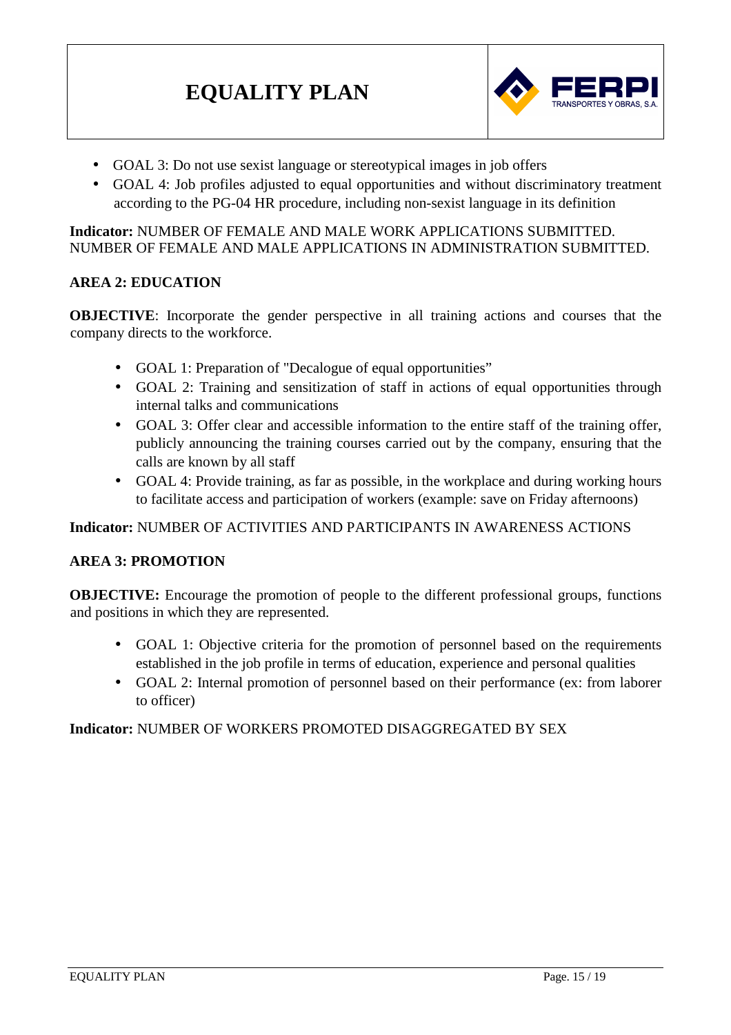

- GOAL 3: Do not use sexist language or stereotypical images in job offers
- GOAL 4: Job profiles adjusted to equal opportunities and without discriminatory treatment according to the PG-04 HR procedure, including non-sexist language in its definition

#### **Indicator:** NUMBER OF FEMALE AND MALE WORK APPLICATIONS SUBMITTED. NUMBER OF FEMALE AND MALE APPLICATIONS IN ADMINISTRATION SUBMITTED.

#### **AREA 2: EDUCATION**

**OBJECTIVE**: Incorporate the gender perspective in all training actions and courses that the company directs to the workforce.

- GOAL 1: Preparation of "Decalogue of equal opportunities"
- GOAL 2: Training and sensitization of staff in actions of equal opportunities through internal talks and communications
- GOAL 3: Offer clear and accessible information to the entire staff of the training offer, publicly announcing the training courses carried out by the company, ensuring that the calls are known by all staff
- GOAL 4: Provide training, as far as possible, in the workplace and during working hours to facilitate access and participation of workers (example: save on Friday afternoons)

**Indicator:** NUMBER OF ACTIVITIES AND PARTICIPANTS IN AWARENESS ACTIONS

#### **AREA 3: PROMOTION**

**OBJECTIVE:** Encourage the promotion of people to the different professional groups, functions and positions in which they are represented.

- GOAL 1: Objective criteria for the promotion of personnel based on the requirements established in the job profile in terms of education, experience and personal qualities
- GOAL 2: Internal promotion of personnel based on their performance (ex: from laborer to officer)

#### **Indicator:** NUMBER OF WORKERS PROMOTED DISAGGREGATED BY SEX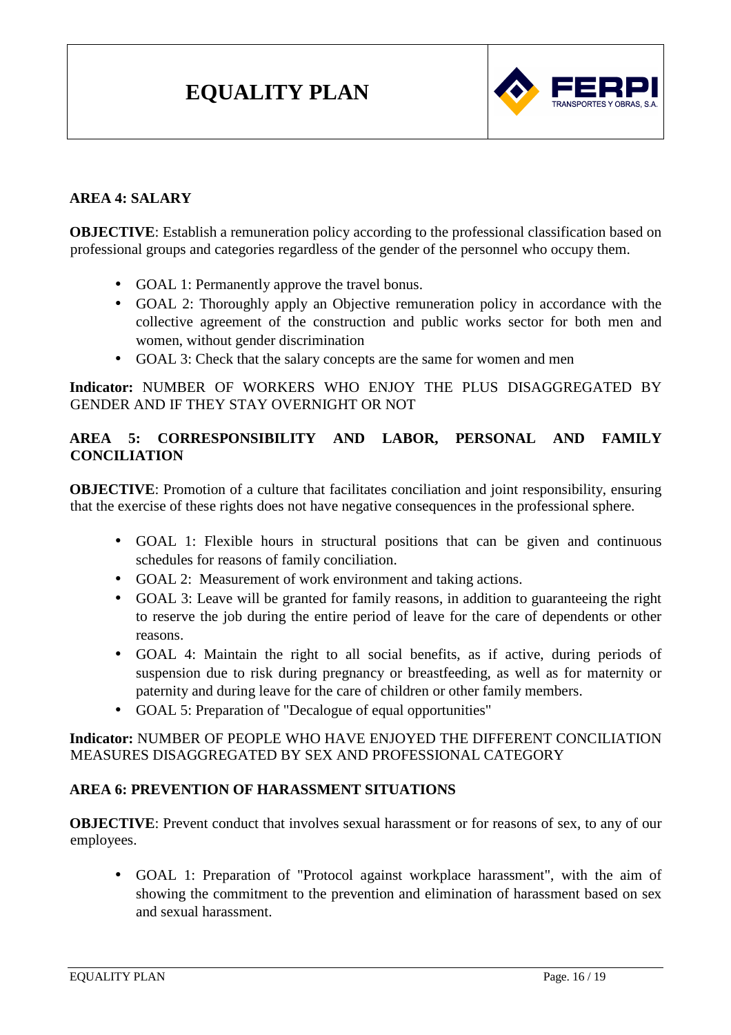

#### **AREA 4: SALARY**

**OBJECTIVE:** Establish a remuneration policy according to the professional classification based on professional groups and categories regardless of the gender of the personnel who occupy them.

- GOAL 1: Permanently approve the travel bonus.
- GOAL 2: Thoroughly apply an Objective remuneration policy in accordance with the collective agreement of the construction and public works sector for both men and women, without gender discrimination
- GOAL 3: Check that the salary concepts are the same for women and men

**Indicator:** NUMBER OF WORKERS WHO ENJOY THE PLUS DISAGGREGATED BY GENDER AND IF THEY STAY OVERNIGHT OR NOT

## **AREA 5: CORRESPONSIBILITY AND LABOR, PERSONAL AND FAMILY CONCILIATION**

**OBJECTIVE:** Promotion of a culture that facilitates conciliation and joint responsibility, ensuring that the exercise of these rights does not have negative consequences in the professional sphere.

- GOAL 1: Flexible hours in structural positions that can be given and continuous schedules for reasons of family conciliation.
- GOAL 2: Measurement of work environment and taking actions.
- GOAL 3: Leave will be granted for family reasons, in addition to guaranteeing the right to reserve the job during the entire period of leave for the care of dependents or other reasons.
- GOAL 4: Maintain the right to all social benefits, as if active, during periods of suspension due to risk during pregnancy or breastfeeding, as well as for maternity or paternity and during leave for the care of children or other family members.
- GOAL 5: Preparation of "Decalogue of equal opportunities"

#### **Indicator:** NUMBER OF PEOPLE WHO HAVE ENJOYED THE DIFFERENT CONCILIATION MEASURES DISAGGREGATED BY SEX AND PROFESSIONAL CATEGORY

#### **AREA 6: PREVENTION OF HARASSMENT SITUATIONS**

**OBJECTIVE:** Prevent conduct that involves sexual harassment or for reasons of sex, to any of our employees.

• GOAL 1: Preparation of "Protocol against workplace harassment", with the aim of showing the commitment to the prevention and elimination of harassment based on sex and sexual harassment.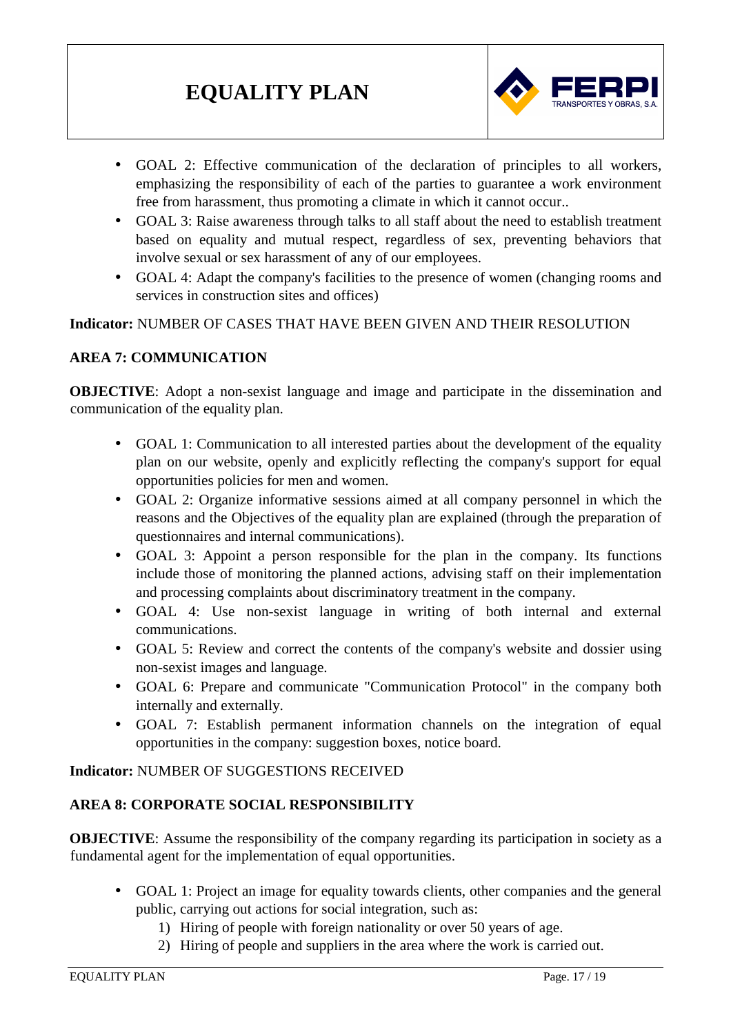

- GOAL 2: Effective communication of the declaration of principles to all workers, emphasizing the responsibility of each of the parties to guarantee a work environment free from harassment, thus promoting a climate in which it cannot occur..
- GOAL 3: Raise awareness through talks to all staff about the need to establish treatment based on equality and mutual respect, regardless of sex, preventing behaviors that involve sexual or sex harassment of any of our employees.
- GOAL 4: Adapt the company's facilities to the presence of women (changing rooms and services in construction sites and offices)

**Indicator:** NUMBER OF CASES THAT HAVE BEEN GIVEN AND THEIR RESOLUTION

#### **AREA 7: COMMUNICATION**

**OBJECTIVE:** Adopt a non-sexist language and image and participate in the dissemination and communication of the equality plan.

- GOAL 1: Communication to all interested parties about the development of the equality plan on our website, openly and explicitly reflecting the company's support for equal opportunities policies for men and women.
- GOAL 2: Organize informative sessions aimed at all company personnel in which the reasons and the Objectives of the equality plan are explained (through the preparation of questionnaires and internal communications).
- GOAL 3: Appoint a person responsible for the plan in the company. Its functions include those of monitoring the planned actions, advising staff on their implementation and processing complaints about discriminatory treatment in the company.
- GOAL 4: Use non-sexist language in writing of both internal and external communications.
- GOAL 5: Review and correct the contents of the company's website and dossier using non-sexist images and language.
- GOAL 6: Prepare and communicate "Communication Protocol" in the company both internally and externally.
- GOAL 7: Establish permanent information channels on the integration of equal opportunities in the company: suggestion boxes, notice board.

**Indicator:** NUMBER OF SUGGESTIONS RECEIVED

#### **AREA 8: CORPORATE SOCIAL RESPONSIBILITY**

**OBJECTIVE:** Assume the responsibility of the company regarding its participation in society as a fundamental agent for the implementation of equal opportunities.

- GOAL 1: Project an image for equality towards clients, other companies and the general public, carrying out actions for social integration, such as:
	- 1) Hiring of people with foreign nationality or over 50 years of age.
	- 2) Hiring of people and suppliers in the area where the work is carried out.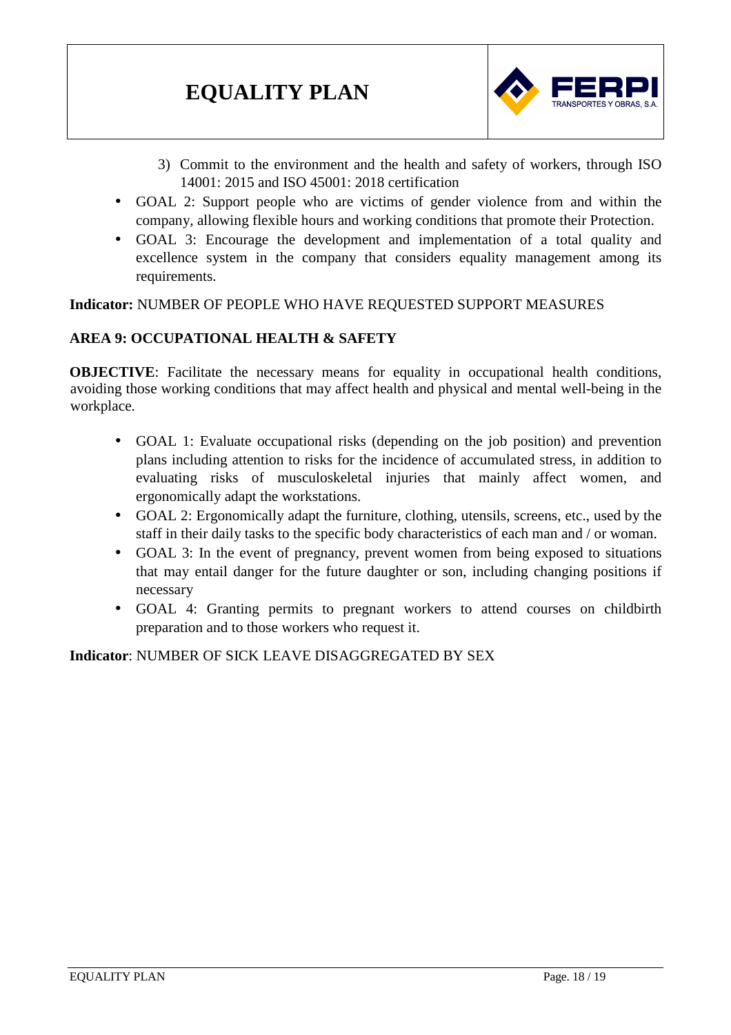

- 3) Commit to the environment and the health and safety of workers, through ISO 14001: 2015 and ISO 45001: 2018 certification
- GOAL 2: Support people who are victims of gender violence from and within the company, allowing flexible hours and working conditions that promote their Protection.
- GOAL 3: Encourage the development and implementation of a total quality and excellence system in the company that considers equality management among its requirements.

**Indicator:** NUMBER OF PEOPLE WHO HAVE REQUESTED SUPPORT MEASURES

#### **AREA 9: OCCUPATIONAL HEALTH & SAFETY**

**OBJECTIVE:** Facilitate the necessary means for equality in occupational health conditions, avoiding those working conditions that may affect health and physical and mental well-being in the workplace.

- GOAL 1: Evaluate occupational risks (depending on the job position) and prevention plans including attention to risks for the incidence of accumulated stress, in addition to evaluating risks of musculoskeletal injuries that mainly affect women, and ergonomically adapt the workstations.
- GOAL 2: Ergonomically adapt the furniture, clothing, utensils, screens, etc., used by the staff in their daily tasks to the specific body characteristics of each man and / or woman.
- GOAL 3: In the event of pregnancy, prevent women from being exposed to situations that may entail danger for the future daughter or son, including changing positions if necessary
- GOAL 4: Granting permits to pregnant workers to attend courses on childbirth preparation and to those workers who request it.

**Indicator**: NUMBER OF SICK LEAVE DISAGGREGATED BY SEX